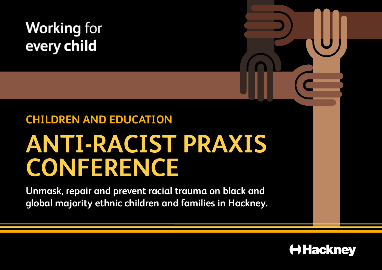## **Working for** every child

# **CHILDREN AND EDUCATION ANTI-RACIST PRAXIS CONFERENCE**

**Unmask, repair and prevent racial trauma on black and global majority ethnic children and families in Hackney.**

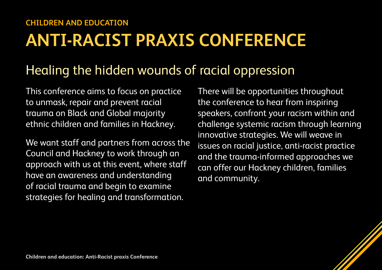## **ANTI-RACIST PRAXIS CONFERENCE**

## Healing the hidden wounds of racial oppression

This conference aims to focus on practice to unmask, repair and prevent racial trauma on Black and Global majority ethnic children and families in Hackney.

We want staff and partners from across the Council and Hackney to work through an approach with us at this event, where staff have an awareness and understanding of racial trauma and begin to examine strategies for healing and transformation.

There will be opportunities throughout the conference to hear from inspiring speakers, confront your racism within and challenge systemic racism through learning innovative strategies. We will weave in issues on racial justice, anti-racist practice and the trauma-informed approaches we can offer our Hackney children, families and community.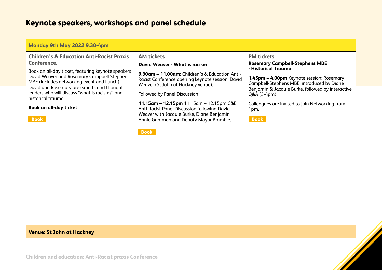| Monday 9th May 2022 9.30-4pm                                                                                                                                                                                                                                                                                   |                                                                                                                                                                                                                                                                                                                                                                            |                                                                                                                                                                                                                                      |
|----------------------------------------------------------------------------------------------------------------------------------------------------------------------------------------------------------------------------------------------------------------------------------------------------------------|----------------------------------------------------------------------------------------------------------------------------------------------------------------------------------------------------------------------------------------------------------------------------------------------------------------------------------------------------------------------------|--------------------------------------------------------------------------------------------------------------------------------------------------------------------------------------------------------------------------------------|
| <b>Children's &amp; Education Anti-Racist Praxis</b>                                                                                                                                                                                                                                                           | <b>AM tickets</b>                                                                                                                                                                                                                                                                                                                                                          | <b>PM tickets</b>                                                                                                                                                                                                                    |
| Conference.                                                                                                                                                                                                                                                                                                    | <b>David Weaver - What is racism</b>                                                                                                                                                                                                                                                                                                                                       | <b>Rosemary Campbell-Stephens MBE</b><br>- Historical Trauma                                                                                                                                                                         |
| Book an all-day ticket, featuring keynote speakers<br>David Weaver and Rosemary Campbell Stephens<br>MBE (includes networking event and Lunch).<br>David and Rosemary are experts and thought<br>leaders who will discuss "what is racism?" and<br>historical trauma.<br>Book an all-day ticket<br><b>Book</b> | 9.30am - 11.00am: Children's & Education Anti-<br>Racist Conference opening keynote session: David<br>Weaver (St John at Hackney venue).<br>Followed by Panel Discussion<br>11.15am - 12.15pm 11.15am - 12.15pm C&E<br>Anti-Racist Panel Discussion following David<br>Weaver with Jacquie Burke, Diane Benjamin,<br>Annie Gammon and Deputy Mayor Bramble.<br><b>Book</b> | 1.45pm - 4.00pm Keynote session: Rosemary<br>Campbell-Stephens MBE, introduced by Diane<br>Benjamin & Jacquie Burke, followed by interactive<br>Q&A (3-4pm)<br>Colleagues are invited to join Networking from<br>1pm.<br><b>Book</b> |
| <b>Venue: St John at Hackney</b>                                                                                                                                                                                                                                                                               |                                                                                                                                                                                                                                                                                                                                                                            |                                                                                                                                                                                                                                      |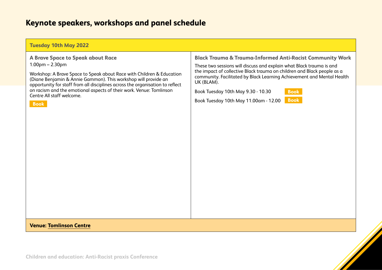| <b>Tuesday 10th May 2022</b>                                                                                                                                                                                                                                                                                                                                                                          |                                                                                                                                                                                                                                                                                                                                                                                                                              |
|-------------------------------------------------------------------------------------------------------------------------------------------------------------------------------------------------------------------------------------------------------------------------------------------------------------------------------------------------------------------------------------------------------|------------------------------------------------------------------------------------------------------------------------------------------------------------------------------------------------------------------------------------------------------------------------------------------------------------------------------------------------------------------------------------------------------------------------------|
| A Brave Space to Speak about Race<br>$1.00pm - 2.30pm$<br>Workshop: A Brave Space to Speak about Race with Children & Education<br>(Diane Benjamin & Annie Gammon). This workshop will provide an<br>opportunity for staff from all disciplines across the organisation to reflect<br>on racism and the emotional aspects of their work. Venue: Tomlinson<br>Centre All staff welcome.<br><b>Book</b> | <b>Black Trauma &amp; Trauma-Informed Anti-Racist Community Work</b><br>These two sessions will discuss and explain what Black trauma is and<br>the impact of collective Black trauma on children and Black people as a<br>community. Facilitated by Black Learning Achievement and Mental Health<br>UK (BLAM).<br>Book Tuesday 10th May 9.30 - 10.30<br><b>Book</b><br><b>Book</b><br>Book Tuesday 10th May 11.00am - 12.00 |
| <b>Venue: Tomlinson Centre</b>                                                                                                                                                                                                                                                                                                                                                                        |                                                                                                                                                                                                                                                                                                                                                                                                                              |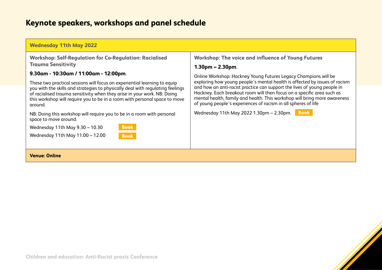| <b>Wednesday 11th May 2022</b>                                                                                                                                                                                                                                                                                                                                                                                                                                           |                                                                                                                                                                                                                                                                                                                                                                                                                                                                                                                                     |  |
|--------------------------------------------------------------------------------------------------------------------------------------------------------------------------------------------------------------------------------------------------------------------------------------------------------------------------------------------------------------------------------------------------------------------------------------------------------------------------|-------------------------------------------------------------------------------------------------------------------------------------------------------------------------------------------------------------------------------------------------------------------------------------------------------------------------------------------------------------------------------------------------------------------------------------------------------------------------------------------------------------------------------------|--|
| <b>Workshop: Self-Regulation for Co-Regulation: Racialised</b><br><b>Trauma Sensitivity</b><br>9.30am - 10:30am / 11:00am - 12:00pm.<br>These two practical sessions will focus on experiential learning to equip<br>you with the skills and strategies to physically deal with regulating feelings<br>of racialised trauma sensitivity when they arise in your work. NB: Doing<br>this workshop will require you to be in a room with personal space to move<br>around. | <b>Workshop: The voice and influence of Young Futures</b><br>1.30pm – 2.30pm.<br>Online Workshop: Hackney Young Futures Legacy Champions will be<br>exploring how young people's mental health is affected by issues of racism<br>and how an anti-racist practice can support the lives of young people in<br>Hackney. Each breakout room will then focus on a specific area such as<br>mental health, family and health. This workshop will bring more awareness<br>of young people's experiences of racism in all spheres of life |  |
| NB: Doing this workshop will require you to be in a room with personal<br>space to move around.<br><b>Book</b><br>Wednesday 11th May 9.30 - 10.30<br>Wednesday 11th May 11.00 - 12.00<br><b>Book</b>                                                                                                                                                                                                                                                                     | Wednesday 11th May 2022 1.30pm - 2.30pm.<br><b>Book</b>                                                                                                                                                                                                                                                                                                                                                                                                                                                                             |  |
| <b>Venue: Online</b>                                                                                                                                                                                                                                                                                                                                                                                                                                                     |                                                                                                                                                                                                                                                                                                                                                                                                                                                                                                                                     |  |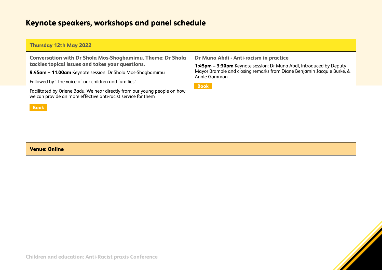| <b>Thursday 12th May 2022</b>                                                                                                                                                                                                                                                                                                                                                                           |                                                                                                                                                                                                                        |
|---------------------------------------------------------------------------------------------------------------------------------------------------------------------------------------------------------------------------------------------------------------------------------------------------------------------------------------------------------------------------------------------------------|------------------------------------------------------------------------------------------------------------------------------------------------------------------------------------------------------------------------|
| <b>Conversation with Dr Shola Mos-Shogbamimu. Theme: Dr Shola</b><br>tackles topical issues and takes your questions.<br>9.45am - 11.00am Keynote session: Dr Shola Mos-Shogbamimu<br>Followed by 'The voice of our children and families'<br>Facilitated by Orlene Badu. We hear directly from our young people on how<br>we can provide an more effective anti-racist service for them<br><b>Book</b> | Dr Muna Abdi - Anti-racism in practice<br>1:45pm - 3:30pm Keynote session: Dr Muna Abdi, introduced by Deputy<br>Mayor Bramble and closing remarks from Diane Benjamin Jacquie Burke, &<br>Annie Gammon<br><b>Book</b> |
| <b>Venue: Online</b>                                                                                                                                                                                                                                                                                                                                                                                    |                                                                                                                                                                                                                        |

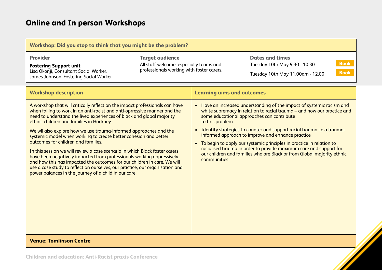| Workshop: Did you stop to think that you might be the problem?                                                                                                                                                                                                                                                                                                                                                                                                                                                                                                                                                                                                                                                                                                                                                                              |                                                                                                                |                                   |                                                                                                                                                                                                                                                                                                                                                                                                                                                                                                                                                            |
|---------------------------------------------------------------------------------------------------------------------------------------------------------------------------------------------------------------------------------------------------------------------------------------------------------------------------------------------------------------------------------------------------------------------------------------------------------------------------------------------------------------------------------------------------------------------------------------------------------------------------------------------------------------------------------------------------------------------------------------------------------------------------------------------------------------------------------------------|----------------------------------------------------------------------------------------------------------------|-----------------------------------|------------------------------------------------------------------------------------------------------------------------------------------------------------------------------------------------------------------------------------------------------------------------------------------------------------------------------------------------------------------------------------------------------------------------------------------------------------------------------------------------------------------------------------------------------------|
| <b>Provider</b><br><b>Fostering Support unit</b><br>Lisa Okonji, Consultant Social Worker.<br>James Johnson, Fostering Social Worker                                                                                                                                                                                                                                                                                                                                                                                                                                                                                                                                                                                                                                                                                                        | <b>Target audience</b><br>All staff welcome, especially teams and<br>professionals working with foster carers. |                                   | <b>Dates and times</b><br><b>Book</b><br>Tuesday 10th May 9.30 - 10.30<br><b>Book</b><br>Tuesday 10th May 11.00am - 12.00                                                                                                                                                                                                                                                                                                                                                                                                                                  |
| <b>Workshop description</b>                                                                                                                                                                                                                                                                                                                                                                                                                                                                                                                                                                                                                                                                                                                                                                                                                 |                                                                                                                | <b>Learning aims and outcomes</b> |                                                                                                                                                                                                                                                                                                                                                                                                                                                                                                                                                            |
| A workshop that will critically reflect on the impact professionals can have<br>when failing to work in an anti-racist and anti-oprressive manner and the<br>need to understand the lived experiences of black and global majority<br>ethnic children and families in Hackney.<br>We wll also explore how we use trauma-informed approaches and the<br>systemic model when working to create better cohesion and better<br>outcomes for children and families.<br>In this session we will review a case scenario in which Black foster carers<br>have been negatively impacted from professionals working oppressively<br>and how this has impacted the outcomes for our children in care. We will<br>use a case study to reflect on ourselves, our practice, our organisation and<br>power balances in the journey of a child in our care. |                                                                                                                | to this problem<br>communities    | • Have an increased understanding of the impact of systemic racism and<br>white supremacy in relation to racial trauma - and how our practice and<br>some educational approaches can contribute<br>• Identify strategies to counter and support racial trauma i.e a trauma-<br>informed approach to improve and enhance practice<br>• To begin to apply our systemic principles in practice in relation to<br>racialised trauma in order to provide maximum care and support for<br>our children and families who are Black or from Global majority ethnic |
| <b>Venue: Tomlinson Centre</b>                                                                                                                                                                                                                                                                                                                                                                                                                                                                                                                                                                                                                                                                                                                                                                                                              |                                                                                                                |                                   |                                                                                                                                                                                                                                                                                                                                                                                                                                                                                                                                                            |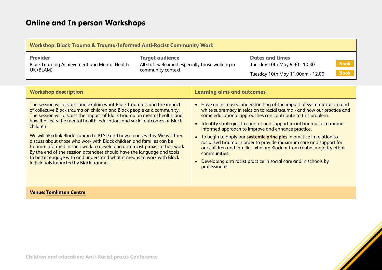| Workshop: Black Trauma & Trauma-Informed Anti-Racist Community Work                 |                                                                                                |                                                                                             |                            |
|-------------------------------------------------------------------------------------|------------------------------------------------------------------------------------------------|---------------------------------------------------------------------------------------------|----------------------------|
| <b>Provider</b><br><b>Black Learning Achievement and Mental Health</b><br>UK (BLAM) | <b>Target audience</b><br>All staff welcomed especially those working in<br>community context. | <b>Dates and times</b><br>Tuesday 10th May 9.30 - 10.30<br>Tuesday 10th May 11.00am - 12.00 | <b>Book</b><br><b>Book</b> |

| <b>Workshop description</b>                                                                                                                                                                                                                                                                                                                                                                                                                                                                                                                                                                                                                                                                                                                                    | <b>Learning aims and outcomes</b>                                                                                                                                                                                                                                                                                                                                                                                                                                                                                                                                                                                                                                                  |
|----------------------------------------------------------------------------------------------------------------------------------------------------------------------------------------------------------------------------------------------------------------------------------------------------------------------------------------------------------------------------------------------------------------------------------------------------------------------------------------------------------------------------------------------------------------------------------------------------------------------------------------------------------------------------------------------------------------------------------------------------------------|------------------------------------------------------------------------------------------------------------------------------------------------------------------------------------------------------------------------------------------------------------------------------------------------------------------------------------------------------------------------------------------------------------------------------------------------------------------------------------------------------------------------------------------------------------------------------------------------------------------------------------------------------------------------------------|
| The session will discuss and explain what Black trauma is and the impact<br>of collective Black trauma on children and Black people as a community.<br>The session will discuss the impact of Black trauma on mental health, and<br>how it affects the mental health, education, and social outcomes of Black<br>children.<br>We will also link Black trauma to PTSD and how it causes this. We will then<br>discuss about those who work with Black children and families can be<br>trauma-informed in their work to develop an anti-racist praxis in their work.<br>By the end of the session attendees should have the language and tools<br>to better engage with and understand what it means to work with Black<br>individuals impacted by Black trauma. | • Have an increased understanding of the impact of systemic racism and<br>white supremacy in relation to racial trauma - and how our practice and<br>some educational approaches can contribute to this problem.<br>• Identify strategies to counter and support racial trauma i.e a trauma-<br>informed approach to improve and enhance practice.<br>• To begin to apply our systemic principles in practice in relation to<br>racialised trauma in order to provide maximum care and support for<br>our children and families who are Black or from Global majority ethnic<br>communities.<br>Developing anti racist practice in social care and in schools by<br>professionals. |
| <b>Venue: Tomlinson Centre</b>                                                                                                                                                                                                                                                                                                                                                                                                                                                                                                                                                                                                                                                                                                                                 |                                                                                                                                                                                                                                                                                                                                                                                                                                                                                                                                                                                                                                                                                    |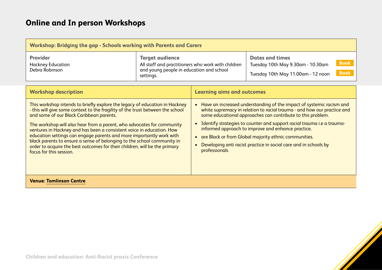| Workshop: Bridging the gap - Schools working with Parents and Carers                                                                                                                                                                                                                                                                                                                                                                                                                                                                                                                                                     |                                                                                                                                       |                                                                                                                                                                                                                                                                                                                                                                                                                                                                                                             |                                                                                                                                 |
|--------------------------------------------------------------------------------------------------------------------------------------------------------------------------------------------------------------------------------------------------------------------------------------------------------------------------------------------------------------------------------------------------------------------------------------------------------------------------------------------------------------------------------------------------------------------------------------------------------------------------|---------------------------------------------------------------------------------------------------------------------------------------|-------------------------------------------------------------------------------------------------------------------------------------------------------------------------------------------------------------------------------------------------------------------------------------------------------------------------------------------------------------------------------------------------------------------------------------------------------------------------------------------------------------|---------------------------------------------------------------------------------------------------------------------------------|
| <b>Provider</b><br><b>Hackney Education</b><br>Debra Robinson                                                                                                                                                                                                                                                                                                                                                                                                                                                                                                                                                            | <b>Target audience</b><br>All staff and practitioners who work with children<br>and young people in education and school<br>settings. |                                                                                                                                                                                                                                                                                                                                                                                                                                                                                                             | <b>Dates and times</b><br><b>Book</b><br>Tuesday 10th May 9.30am - 10.30am<br><b>Book</b><br>Tuesday 10th May 11.00am - 12 noon |
| <b>Workshop description</b>                                                                                                                                                                                                                                                                                                                                                                                                                                                                                                                                                                                              |                                                                                                                                       | <b>Learning aims and outcomes</b>                                                                                                                                                                                                                                                                                                                                                                                                                                                                           |                                                                                                                                 |
| This workshop intends to briefly explore the legacy of education in Hackney<br>- this will give some context to the fragility of the trust between the school<br>and some of our Black Caribbean parents.<br>The workshop will also hear from a parent, who advocates for community<br>ventures in Hackney and has been a consistent voice in education. How<br>education settings can engage parents and more importantly work with<br>black parents to ensure a sense of belonging to the school community in<br>order to acquire the best outcomes for their children, will be the primary<br>focus for this session. |                                                                                                                                       | • Have an increased understanding of the impact of systemic racism and<br>white supremacy in relation to racial trauma - and how our practice and<br>some educational approaches can contribute to this problem.<br>Identify strategies to counter and support racial trauma i.e a trauma-<br>informed approach to improve and enhance practice.<br>are Black or from Global majority ethnic communities.<br>$\bullet$<br>Developing anti racist practice in social care and in schools by<br>professionals |                                                                                                                                 |
| <b>Venue: Tomlinson Centre</b>                                                                                                                                                                                                                                                                                                                                                                                                                                                                                                                                                                                           |                                                                                                                                       |                                                                                                                                                                                                                                                                                                                                                                                                                                                                                                             |                                                                                                                                 |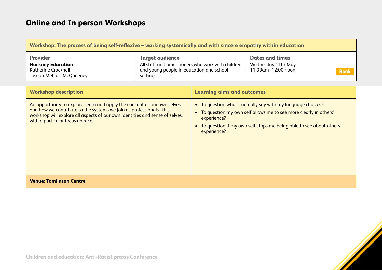| Workshop: The process of being self-reflexive – working systemically and with sincere empathy within education                                                                                                                                                      |                                                                                                                                       |                                                                                                                                                                                                                                                   |                                                                                    |
|---------------------------------------------------------------------------------------------------------------------------------------------------------------------------------------------------------------------------------------------------------------------|---------------------------------------------------------------------------------------------------------------------------------------|---------------------------------------------------------------------------------------------------------------------------------------------------------------------------------------------------------------------------------------------------|------------------------------------------------------------------------------------|
| <b>Provider</b><br><b>Hackney Education</b><br><b>Katherine Cracknell</b><br>Joseph Metcalf-McQueeney                                                                                                                                                               | <b>Target audience</b><br>All staff and practitioners who work with children<br>and young people in education and school<br>settings. |                                                                                                                                                                                                                                                   | <b>Dates and times</b><br>Wednesday 11th May<br>11:00am -12:00 noon<br><b>Book</b> |
| <b>Workshop description</b>                                                                                                                                                                                                                                         |                                                                                                                                       | <b>Learning aims and outcomes</b>                                                                                                                                                                                                                 |                                                                                    |
| An opportunity to explore, learn and apply the concept of our own selves<br>and how we contribute to the systems we join as professionals. This<br>workshop will explore all aspects of our own identities and sense of selves,<br>with a particular focus on race. |                                                                                                                                       | • To question what I actually say with my language choices?<br>To question my own self allows me to see more clearly in others'<br>$\bullet$<br>experience?<br>To question if my own self stops me being able to see about others'<br>experience? |                                                                                    |
| <b>Venue: Tomlinson Centre</b>                                                                                                                                                                                                                                      |                                                                                                                                       |                                                                                                                                                                                                                                                   |                                                                                    |

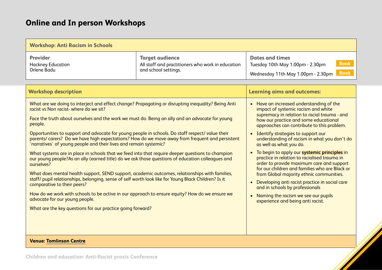| <b>Workshop: Anti Racism in Schools</b>                                                                                                                                                                                                                                                                                                                                                                                                                                                                                                                                                                                                                                                                                                                                                                                                                                                                                                                                                                                                                                                                                                                                                              |                                                                                                     |                                                                                                                                                                                                                                                                                                                                                                                                                                                                                                                                                                                                                                                                                                                                                             |  |  |
|------------------------------------------------------------------------------------------------------------------------------------------------------------------------------------------------------------------------------------------------------------------------------------------------------------------------------------------------------------------------------------------------------------------------------------------------------------------------------------------------------------------------------------------------------------------------------------------------------------------------------------------------------------------------------------------------------------------------------------------------------------------------------------------------------------------------------------------------------------------------------------------------------------------------------------------------------------------------------------------------------------------------------------------------------------------------------------------------------------------------------------------------------------------------------------------------------|-----------------------------------------------------------------------------------------------------|-------------------------------------------------------------------------------------------------------------------------------------------------------------------------------------------------------------------------------------------------------------------------------------------------------------------------------------------------------------------------------------------------------------------------------------------------------------------------------------------------------------------------------------------------------------------------------------------------------------------------------------------------------------------------------------------------------------------------------------------------------------|--|--|
| <b>Provider</b><br><b>Hackney Education</b><br>Orlene Badu                                                                                                                                                                                                                                                                                                                                                                                                                                                                                                                                                                                                                                                                                                                                                                                                                                                                                                                                                                                                                                                                                                                                           | <b>Target audience</b><br>All staff and practitioners who work in education<br>and school settings. | <b>Dates and times</b><br><b>Book</b><br>Tuesday 10th May 1.00pm - 2.30pm<br><b>Book</b><br>Wednesday 11th May 1.00pm - 2.30pm                                                                                                                                                                                                                                                                                                                                                                                                                                                                                                                                                                                                                              |  |  |
| <b>Workshop description</b>                                                                                                                                                                                                                                                                                                                                                                                                                                                                                                                                                                                                                                                                                                                                                                                                                                                                                                                                                                                                                                                                                                                                                                          |                                                                                                     | <b>Learning aims and outcomes:</b>                                                                                                                                                                                                                                                                                                                                                                                                                                                                                                                                                                                                                                                                                                                          |  |  |
| What are we doing to interject and effect change? Propagating or disrupting inequality? Being Anti<br>racist vs Non racist-where do we sit?<br>Face the truth about ourselves and the work we must do. Being an ally and an advocate for young<br>people.<br>Opportunities to support and advocate for young people in schools. Do staff respect/value their<br>parents/carers? Do we have high expectations? How do we move away from frequent and persistent<br>'narratives' of young people and their lives and remain systemic?<br>What systems are in place in schools that we feed into that require deeper questions to champion<br>our young people?As an ally (earned title) do we ask those questions of education colleagues and<br>ourselves?<br>What does mental health support, SEND support, academic outcomes, relationships with families,<br>staff/ pupil relationships, belonging, sense of self worth look like for Young Black Children? Is it<br>comparative to their peers?<br>How do we work with schools to be active in our approach to ensure equity? How do we ensure we<br>advocate for our young people.<br>What are the key questions for our practice going forward? |                                                                                                     | • Have an increased understanding of the<br>impact of systemic racism and white<br>supremacy in relation to racial trauma - and<br>how our practice and some educational<br>approaches can contribute to this problem.<br>• Identify strategies to support our<br>understanding of racism in what you don't do<br>as well as what you do.<br>• To begin to apply our systemic principles in<br>practice in relation to racialised trauma in<br>order to provide maximum care and support<br>for our children and families who are Black or<br>from Global majority ethnic communities.<br>• Developing anti racist practice in social care<br>and in schools by professionals<br>• Naming the racism we see our pupils<br>experience and being anti racist. |  |  |
| <b>Venue: Tomlinson Centre</b>                                                                                                                                                                                                                                                                                                                                                                                                                                                                                                                                                                                                                                                                                                                                                                                                                                                                                                                                                                                                                                                                                                                                                                       |                                                                                                     |                                                                                                                                                                                                                                                                                                                                                                                                                                                                                                                                                                                                                                                                                                                                                             |  |  |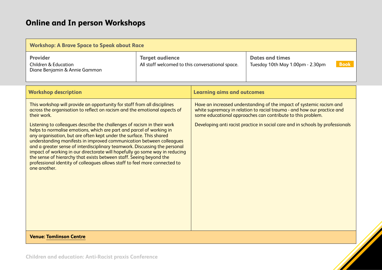| <b>Workshop: A Brave Space to Speak about Race</b>                                                                                                                                                                                                                                                                                                                                                                                                                                                                                                                                                                                                                                                                                                                                                       |                                                                            |                                   |                                                                                                                                                                                                                                                                                                  |
|----------------------------------------------------------------------------------------------------------------------------------------------------------------------------------------------------------------------------------------------------------------------------------------------------------------------------------------------------------------------------------------------------------------------------------------------------------------------------------------------------------------------------------------------------------------------------------------------------------------------------------------------------------------------------------------------------------------------------------------------------------------------------------------------------------|----------------------------------------------------------------------------|-----------------------------------|--------------------------------------------------------------------------------------------------------------------------------------------------------------------------------------------------------------------------------------------------------------------------------------------------|
| <b>Provider</b><br><b>Children &amp; Education</b><br>Diane Benjamin & Annie Gammon                                                                                                                                                                                                                                                                                                                                                                                                                                                                                                                                                                                                                                                                                                                      | <b>Target audience</b><br>All staff welcomed to this conversational space. |                                   | <b>Dates and times</b><br><b>Book</b><br>Tuesday 10th May 1.00pm - 2.30pm                                                                                                                                                                                                                        |
| <b>Workshop description</b>                                                                                                                                                                                                                                                                                                                                                                                                                                                                                                                                                                                                                                                                                                                                                                              |                                                                            | <b>Learning aims and outcomes</b> |                                                                                                                                                                                                                                                                                                  |
| This workshop will provide an opportunity for staff from all disciplines<br>across the organisation to reflect on racism and the emotional aspects of<br>their work.<br>Listening to colleagues describe the challenges of racism in their work<br>helps to normalise emotions, which are part and parcel of working in<br>any organisation, but are often kept under the surface. This shared<br>understanding manifests in improved communication between colleagues<br>and a greater sense of interdisciplinary teamwork. Discussing the personal<br>impact of working in our directorate will hopefully go some way in reducing<br>the sense of hierarchy that exists between staff. Seeing beyond the<br>professional identity of colleagues allows staff to feel more connected to<br>one another. |                                                                            |                                   | Have an increased understanding of the impact of systemic racism and<br>white supremacy in relation to racial trauma - and how our practice and<br>some educational approaches can contribute to this problem.<br>Developing anti racist practice in social care and in schools by professionals |
| <b>Venue: Tomlinson Centre</b>                                                                                                                                                                                                                                                                                                                                                                                                                                                                                                                                                                                                                                                                                                                                                                           |                                                                            |                                   |                                                                                                                                                                                                                                                                                                  |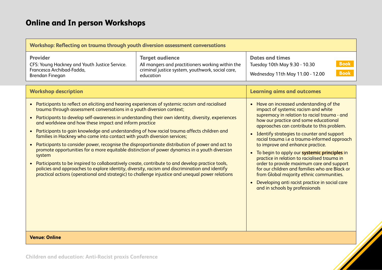| Workshop: Reflecting on trauma through youth diversion assessment conversations                                                                                                                                                                                                                                                                                                                                                                                                                                                                                                                                                                                                                                                                                                                                                                                                                                                                               |                                                                                                                                             |                                                                                                                                                                                                                                                                                                                                                                                                                                                                                                                                                                                                                                                                                              |  |
|---------------------------------------------------------------------------------------------------------------------------------------------------------------------------------------------------------------------------------------------------------------------------------------------------------------------------------------------------------------------------------------------------------------------------------------------------------------------------------------------------------------------------------------------------------------------------------------------------------------------------------------------------------------------------------------------------------------------------------------------------------------------------------------------------------------------------------------------------------------------------------------------------------------------------------------------------------------|---------------------------------------------------------------------------------------------------------------------------------------------|----------------------------------------------------------------------------------------------------------------------------------------------------------------------------------------------------------------------------------------------------------------------------------------------------------------------------------------------------------------------------------------------------------------------------------------------------------------------------------------------------------------------------------------------------------------------------------------------------------------------------------------------------------------------------------------------|--|
| <b>Provider</b><br>CFS: Young Hackney and Youth Justice Service.<br>Francesca Archibad-Fadda,<br>Brendan Finegan<br><b>Workshop description</b>                                                                                                                                                                                                                                                                                                                                                                                                                                                                                                                                                                                                                                                                                                                                                                                                               | <b>Target audience</b><br>All mangers and practitioners working within the<br>criminal justice system, youthwork, social care,<br>education | <b>Dates and times</b><br><b>Book</b><br>Tuesday 10th May 9.30 - 10.30<br><b>Book</b><br>Wednesday 11th May 11.00 - 12.00<br><b>Learning aims and outcomes</b>                                                                                                                                                                                                                                                                                                                                                                                                                                                                                                                               |  |
| Participants to reflect on eliciting and hearing experiences of systemic racism and racialised<br>trauma through assessment conversations in a youth diversion context;<br>$\bullet$<br>and worldview and how these impact and inform practice<br>Participants to gain knowledge and understanding of how racial trauma affects children and<br>$\bullet$<br>families in Hackney who come into contact with youth diversion services;<br>Participants to consider power, recognise the disproportionate distribution of power and act to<br>promote opportunities for a more equitable distinction of power dynamics in a youth diversion<br>system<br>Participants to be inspired to collaboratively create, contribute to and develop practice tools,<br>policies and approaches to explore identity, diversity, racism and discrimination and identify<br>practical actions (operational and strategic) to challenge injustice and unequal power relations | Participants to develop self-awareness in understanding their own identity, diversity, experiences                                          | • Have an increased understanding of the<br>impact of systemic racism and white<br>supremacy in relation to racial trauma - and<br>how our practice and some educational<br>approaches can contribute to this problem.<br>• Identify strategies to counter and support<br>racial trauma i.e a trauma-informed approach<br>to improve and enhance practice.<br>• To begin to apply our systemic principles in<br>practice in relation to racialised trauma in<br>order to provide maximum care and support<br>for our children and families who are Black or<br>from Global majority ethnic communities.<br>Developing anti racist practice in social care<br>and in schools by professionals |  |
| <b>Venue: Online</b>                                                                                                                                                                                                                                                                                                                                                                                                                                                                                                                                                                                                                                                                                                                                                                                                                                                                                                                                          |                                                                                                                                             |                                                                                                                                                                                                                                                                                                                                                                                                                                                                                                                                                                                                                                                                                              |  |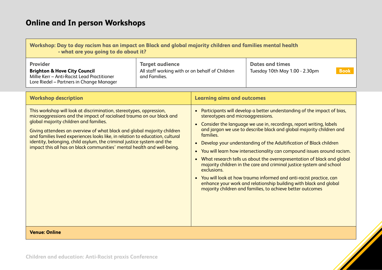| Workshop: Day to day racism has an impact on Black and global majority children and families mental health<br>- what are you going to do about it?    |                                                                                            |                                                          |             |
|-------------------------------------------------------------------------------------------------------------------------------------------------------|--------------------------------------------------------------------------------------------|----------------------------------------------------------|-------------|
| <b>Provider</b><br><b>Brighton &amp; Hove City Council</b><br>Millie Kerr - Anti-Racist Lead Practitioner<br>Lore Riedel - Partners in Change Manager | <b>Target audience</b><br>All staff working with or on behalf of Children<br>and Families. | <b>Dates and times</b><br>Tuesday 10th May 1.00 - 2.30pm | <b>Book</b> |

| <b>Workshop description</b>                                                                                                                                                                                                                                                                                                                                                                                                                                                                             | <b>Learning aims and outcomes</b>                                                                                                                                                                                                                                                                                                                                                                                                                                                                                                                                                                                                                                                                                                                                                                      |
|---------------------------------------------------------------------------------------------------------------------------------------------------------------------------------------------------------------------------------------------------------------------------------------------------------------------------------------------------------------------------------------------------------------------------------------------------------------------------------------------------------|--------------------------------------------------------------------------------------------------------------------------------------------------------------------------------------------------------------------------------------------------------------------------------------------------------------------------------------------------------------------------------------------------------------------------------------------------------------------------------------------------------------------------------------------------------------------------------------------------------------------------------------------------------------------------------------------------------------------------------------------------------------------------------------------------------|
| This workshop will look at discrimination, stereotypes, oppression,<br>microaggressions and the impact of racialised trauma on our black and<br>global majority children and families.<br>Giving attendees an overview of what black and global majority children<br>and families lived experiences looks like, in relation to education, cultural<br>identity, belonging, child asylum, the criminal justice system and the<br>impact this all has on black communities' mental health and well-being. | Participants will develop a better understanding of the impact of bias,<br>stereotypes and microaggressions.<br>Consider the language we use in, recordings, report writing, labels<br>and jargon we use to describe black and global majority children and<br>families.<br>Develop your understanding of the Adultification of Black children<br>You will learn how intersectionality can compound issues around racism.<br>What research tells us about the overrepresentation of black and global<br>majority children in the care and criminal justice system and school<br>exclusions.<br>• You will look at how trauma informed and anti-racist practice, can<br>enhance your work and relationship building with black and global<br>majority children and families, to achieve better outcomes |
| <b>Venue: Online</b>                                                                                                                                                                                                                                                                                                                                                                                                                                                                                    |                                                                                                                                                                                                                                                                                                                                                                                                                                                                                                                                                                                                                                                                                                                                                                                                        |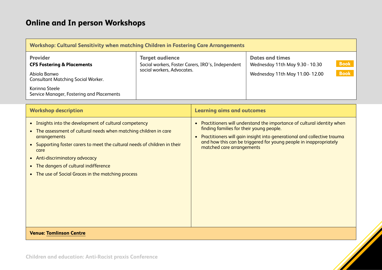| <b>Workshop: Cultural Sensitivity when matching Children in Fostering Care Arrangements</b>                                                                                          |                                                                                                           |                                                                                             |                            |
|--------------------------------------------------------------------------------------------------------------------------------------------------------------------------------------|-----------------------------------------------------------------------------------------------------------|---------------------------------------------------------------------------------------------|----------------------------|
| <b>Provider</b><br><b>CFS Fostering &amp; Placements</b><br>Abiola Banwo<br><b>Consultant Matching Social Worker.</b><br>Korinna Steele<br>Service Manager, Fostering and Placements | <b>Target audience</b><br>Social workers, Foster Carers, IRO's, Independent<br>social workers, Advocates. | <b>Dates and times</b><br>Wednesday 11th May 9.30 - 10.30<br>Wednesday 11th May 11.00-12.00 | <b>Book</b><br><b>Book</b> |

| <b>Workshop description</b>                                                                                                                                                                                                                                                                                                                                                    | <b>Learning aims and outcomes</b>                                                                                                                                                                                                                                                                            |
|--------------------------------------------------------------------------------------------------------------------------------------------------------------------------------------------------------------------------------------------------------------------------------------------------------------------------------------------------------------------------------|--------------------------------------------------------------------------------------------------------------------------------------------------------------------------------------------------------------------------------------------------------------------------------------------------------------|
| • Insights into the development of cultural competency<br>• The assessment of cultural needs when matching children in care<br>arrangements<br>Supporting foster carers to meet the cultural needs of children in their<br>$\bullet$<br>care<br>• Anti-discriminatory advocacy<br>• The dangers of cultural indifference<br>• The use of Social Graces in the matching process | Practitioners will understand the importance of cultural identity when<br>finding families for their young people.<br>Practitioners will gain insight into generational and collective trauma<br>$\bullet$<br>and how this can be triggered for young people in inappropriately<br>matched care arrangements |
| <b>Venue: Tomlinson Centre</b>                                                                                                                                                                                                                                                                                                                                                 |                                                                                                                                                                                                                                                                                                              |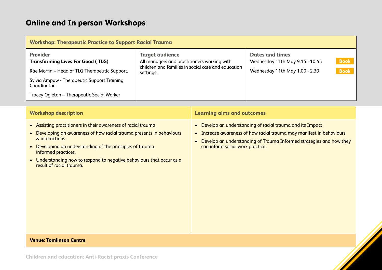| <b>Workshop: Therapeutic Practice to Support Racial Trauma</b>                                               |                                                                                                                                          |                                                                                             |                            |
|--------------------------------------------------------------------------------------------------------------|------------------------------------------------------------------------------------------------------------------------------------------|---------------------------------------------------------------------------------------------|----------------------------|
| <b>Provider</b><br><b>Transforming Lives For Good (TLG)</b><br>Rae Morfin - Head of TLG Therapeutic Support. | <b>Target audience</b><br>All managers and practitioners working with<br>children and families in social care and education<br>settings. | <b>Dates and times</b><br>Wednesday 11th May 9.15 - 10.45<br>Wednesday 11th May 1.00 - 2.30 | <b>Book</b><br><b>Book</b> |
| Sylvia Ampaw - Therapeutic Support Training<br>Coordinator.                                                  |                                                                                                                                          |                                                                                             |                            |
| Tracey Ogleton - Therapeutic Social Worker                                                                   |                                                                                                                                          |                                                                                             |                            |

| <b>Workshop description</b>                                                                                                                                                                                                                                                                                                                                                         | <b>Learning aims and outcomes</b>                                                                                                                                                                                                                                                |
|-------------------------------------------------------------------------------------------------------------------------------------------------------------------------------------------------------------------------------------------------------------------------------------------------------------------------------------------------------------------------------------|----------------------------------------------------------------------------------------------------------------------------------------------------------------------------------------------------------------------------------------------------------------------------------|
| • Assisting practitioners in their awareness of racial trauma<br>Developing an awareness of how racial trauma presents in behaviours<br>$\bullet$<br>& interactions.<br>Developing an understanding of the principles of trauma<br>$\bullet$<br>informed practices.<br>Understanding how to respond to negative behaviours that occur as a<br>$\bullet$<br>result of racial trauma. | Develop an understanding of racial trauma and its Impact<br>$\bullet$<br>Increase awareness of how racial trauma may manifest in behaviours<br>$\bullet$<br>Develop an understanding of Trauma Informed strategies and how they<br>$\bullet$<br>can inform social work practice. |
| <b>Venue: Tomlinson Centre</b>                                                                                                                                                                                                                                                                                                                                                      |                                                                                                                                                                                                                                                                                  |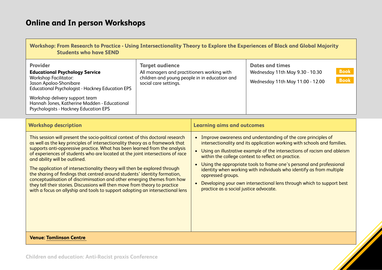Psychologists - Hackney Education EPS

| Workshop: From Research to Practice - Using Intersectionality Theory to Explore the Experiences of Black and Global Majority<br><b>Students who have SEND</b>                                                                                                   |                                                                                                                                                 |                                                                                               |                            |
|-----------------------------------------------------------------------------------------------------------------------------------------------------------------------------------------------------------------------------------------------------------------|-------------------------------------------------------------------------------------------------------------------------------------------------|-----------------------------------------------------------------------------------------------|----------------------------|
| <b>Provider</b><br><b>Educational Psychology Service</b><br><b>Workshop Facilitator:</b><br>Jason Apaloo-Shonibare<br><b>Educational Psychologist - Hackney Education EPS</b><br>Workshop delivery support team<br>Hannah Jones, Katherine Madden - Educational | <b>Target audience</b><br>All managers and practitioners working with<br>children and young people in in education and<br>social care settings. | <b>Dates and times</b><br>Wednesday 11th May 9.30 - 10.30<br>Wednesday 11th May 11.00 - 12.00 | <b>Book</b><br><b>Book</b> |

| <b>Workshop description</b>                                                                                                                                                                                                                                                                                                                                                                                                                                                                                                                                                                                                                                                                                                                                           | <b>Learning aims and outcomes</b>                                                                                                                                                                                                                                                                                                                                                                                                                                                                                                                                                             |
|-----------------------------------------------------------------------------------------------------------------------------------------------------------------------------------------------------------------------------------------------------------------------------------------------------------------------------------------------------------------------------------------------------------------------------------------------------------------------------------------------------------------------------------------------------------------------------------------------------------------------------------------------------------------------------------------------------------------------------------------------------------------------|-----------------------------------------------------------------------------------------------------------------------------------------------------------------------------------------------------------------------------------------------------------------------------------------------------------------------------------------------------------------------------------------------------------------------------------------------------------------------------------------------------------------------------------------------------------------------------------------------|
| This session will present the socio-political context of this doctoral research<br>as well as the key principles of intersectionality theory as a framework that<br>supports anti-oppressive practice. What has been learned from the analysis<br>of experiences of students who are located at the joint intersections of race<br>and ability will be outlined.<br>The application of intersectionality theory will then be explored through<br>the sharing of findings that centred around students' identity formation,<br>conceptualisation of discriminsation and other emerging themes from how<br>they tell their stories. Discussions will then move from theory to practice<br>with a focus on allyship and tools to support adopting an intersectional lens | Improve awareness and understanding of the core principles of<br>$\bullet$<br>intersectionality and its application working with schools and families.<br>Using an illustrative example of the intersections of racism and ableism<br>within the college context to reflect on practice.<br>Using the appropriate tools to frame one's personal and professional<br>$\bullet$<br>identity when working with individuals who identify as from multiple<br>oppressed groups.<br>Developing your own intersectional lens through which to support best<br>practice as a social justice advocate. |
| <b>Venue: Tomlinson Centre</b>                                                                                                                                                                                                                                                                                                                                                                                                                                                                                                                                                                                                                                                                                                                                        |                                                                                                                                                                                                                                                                                                                                                                                                                                                                                                                                                                                               |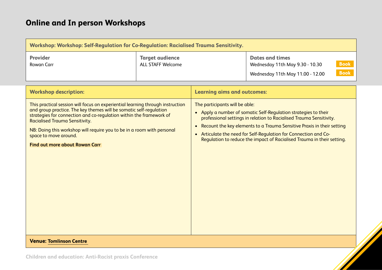| <b>Workshop: Workshop: Self-Regulation for Co-Regulation: Racialised Trauma Sensitivity.</b>                                                                                                                                                                                                                                                                                                              |                                                    |                                             |                                                                                                                                                                                                                                                                                                                                                                |
|-----------------------------------------------------------------------------------------------------------------------------------------------------------------------------------------------------------------------------------------------------------------------------------------------------------------------------------------------------------------------------------------------------------|----------------------------------------------------|---------------------------------------------|----------------------------------------------------------------------------------------------------------------------------------------------------------------------------------------------------------------------------------------------------------------------------------------------------------------------------------------------------------------|
| <b>Provider</b><br><b>Rowan Carr</b>                                                                                                                                                                                                                                                                                                                                                                      | <b>Target audience</b><br><b>ALL STAFF Welcome</b> |                                             | <b>Dates and times</b><br><b>Book</b><br>Wednesday 11th May 9.30 - 10.30<br><b>Book</b><br>Wednesday 11th May 11.00 - 12.00                                                                                                                                                                                                                                    |
| <b>Workshop description:</b>                                                                                                                                                                                                                                                                                                                                                                              |                                                    | <b>Learning aims and outcomes:</b>          |                                                                                                                                                                                                                                                                                                                                                                |
| This practical session will focus on experiential learning through instruction<br>and group practice. The key themes will be somatic self-regulation<br>strategies for connection and co-regulation within the framework of<br>Racialised Trauma Sensitivity.<br>NB: Doing this workshop will require you to be in a room with personal<br>space to move around.<br><b>Find out more about Rowan Carr</b> |                                                    | The participants will be able:<br>$\bullet$ | • Apply a number of somatic Self-Regulation strategies to their<br>professional settings in relation to Racialised Trauma Sensitivity.<br>Recount the key elements to a Trauma Sensitive Praxis in their setting<br>• Articulate the need for Self-Regulation for Connection and Co-<br>Regulation to reduce the impact of Racialised Trauma in their setting. |
| <b>Venue: Tomlinson Centre</b>                                                                                                                                                                                                                                                                                                                                                                            |                                                    |                                             |                                                                                                                                                                                                                                                                                                                                                                |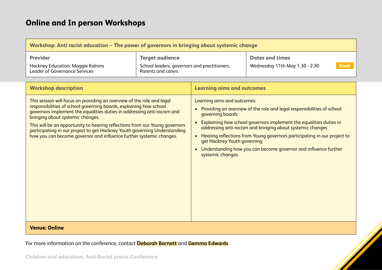| Workshop: Anti racist education $\sim$ The power of governors in bringing about systemic change |                                              |                                |
|-------------------------------------------------------------------------------------------------|----------------------------------------------|--------------------------------|
| <b>Provider</b>                                                                                 | <b>Target audience</b>                       | <b>Dates and times</b>         |
| Hackney Education: Maggie Kalnins                                                               | School leaders, governors and practitioners. | <b>Book</b>                    |
| <b>Leader of Governance Services</b>                                                            | Parents and carers                           | Wednesday 11th May 1.30 - 2.30 |

| <b>Workshop description</b>                                                                                                                                                                                                                                                                                                                                                                                                                                                                    | <b>Learning aims and outcomes</b>                                                                                                                                                                                                                                                                                                                                                                                                                                             |
|------------------------------------------------------------------------------------------------------------------------------------------------------------------------------------------------------------------------------------------------------------------------------------------------------------------------------------------------------------------------------------------------------------------------------------------------------------------------------------------------|-------------------------------------------------------------------------------------------------------------------------------------------------------------------------------------------------------------------------------------------------------------------------------------------------------------------------------------------------------------------------------------------------------------------------------------------------------------------------------|
| This session will focus on providing an overview of the role and legal<br>responsibilities of school governing boards, explaining how school<br>governors implement the equalities duties in addressing anti-racism and<br>bringing about systemic changes.<br>This will be an opportunity to hearing reflections from our Young governors<br>participating in our project to get Hackney Youth governing Understanding<br>how you can become governor and influence further systemic changes. | Learning aims and outcomes:<br>Providing an overview of the role and legal responsibilities of school<br>$\bullet$<br>governing boards<br>Explaining how school governors implement the equalities duties in<br>addressing anti-racism and bringing about systemic changes<br>Hearing reflections from Young governors participating in our project to<br>get Hackney Youth governing<br>Understanding how you can become governor and influence further<br>systemic changes. |
| <b>Venue: Online</b>                                                                                                                                                                                                                                                                                                                                                                                                                                                                           |                                                                                                                                                                                                                                                                                                                                                                                                                                                                               |

For more information on the conference, contact **[Deborah Barnett](mailto:Deborah.Barnett@hackney.gov.uk)** and **[Gemma Edwards](mailto:Gemma.Edwards@hackney.gov.uk)**

**Children and education: Anti-Racist praxis Conference**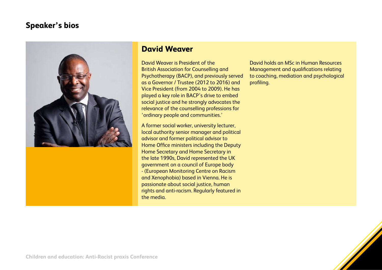

#### **David Weaver**

David Weaver is President of the British Association for Counselling and Psychotherapy (BACP), and previously served as a Governor / Trustee (2012 to 2016) and Vice President (from 2004 to 2009). He has played a key role in BACP's drive to embed social justice and he strongly advocates the relevance of the counselling professions for 'ordinary people and communities.'

A former social worker, university lecturer, local authority senior manager and political advisor and former political advisor to Home Office ministers including the Deputy Home Secretary and Home Secretary in the late 1990s, David represented the UK government on a council of Europe body - (European Monitoring Centre on Racism and Xenophobia) based in Vienna. He is passionate about social justice, human rights and anti-racism. Regularly featured in the media.

David holds an MSc in Human Resources Management and qualifications relating to coaching, mediation and psychological profiling.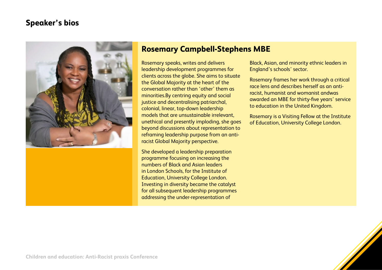

#### **Rosemary Campbell-Stephens MBE**

Rosemary speaks, writes and delivers leadership development programmes for clients across the globe. She aims to situate the Global Majority at the heart of the conversation rather than 'other' them as minorities.By centring equity and social justice and decentralising patriarchal, colonial, linear, top-down leadership models that are unsustainable irrelevant, unethical and presently imploding, she goes beyond discussions about representation to reframing leadership purpose from an antiracist Global Majority perspective.

She developed a leadership preparation programme focusing on increasing the numbers of Black and Asian leaders in London Schools, for the Institute of Education, University College London. Investing in diversity became the catalyst for all subsequent leadership programmes addressing the under-representation of

Black, Asian, and minority ethnic leaders in England's schools' sector.

Rosemary frames her work through a critical race lens and describes herself as an antiracist, humanist and womanist andwas awarded an MBE for thirty-five years' service to education in the United Kingdom.

Rosemary is a Visiting Fellow at the Institute of Education, University College London.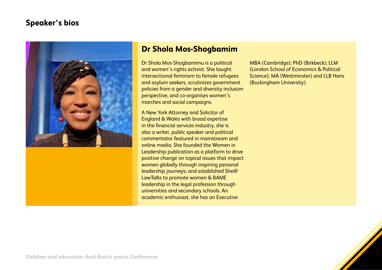

#### **Dr Shola Mos-Shogbamim**

Dr Shola Mos-Shogbamimu is a political and women's rights activist. She taught intersectional feminism to female refugees and asylum seekers, scrutinizes government policies from a gender and diversity inclusion perspective, and co-organises women's marches and social campaigns.

A New York Attorney and Solicitor of England & Wales with broad expertise in the financial services industry, she is also a writer, public speaker and political commentator featured in mainstream and online media. She founded the Women in Leadership publication as a platform to drive positive change on topical issues that impact women globally through inspiring personal leadership journeys; and established She@ LawTalks to promote women & BAME leadership in the legal profession through universities and secondary schools. An academic enthusiast, she has an Executive

MBA (Cambridge); PhD (Birkbeck); LLM (London School of Economics & Political Science); MA (Westminster) and LLB Hons (Buckingham University).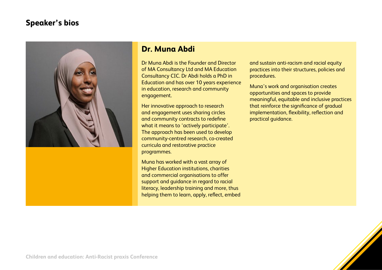

#### **Dr. Muna Abdi**

Dr Muna Abdi is the Founder and Director of MA Consultancy Ltd and MA Education Consultancy CIC. Dr Abdi holds a PhD in Education and has over 10 years experience in education, research and community engagement.

Her innovative approach to research and engagement uses sharing circles and community contracts to redefine what it means to 'actively participate'. The approach has been used to develop community-centred research, co-created curricula and restorative practice programmes.

Muna has worked with a vast array of Higher Education institutions, charities and commercial organisations to offer support and guidance in regard to racial literacy, leadership training and more, thus helping them to learn, apply, reflect, embed and sustain anti-racism and racial equity practices into their structures, policies and procedures.

Muna's work and organisation creates opportunities and spaces to provide meaningful, equitable and inclusive practices that reinforce the significance of gradual implementation, flexibility, reflection and practical guidance.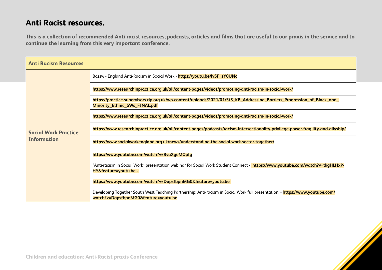#### **Anti Racist resources.**

**This is a collection of recommended Anti racist resources; podcasts, articles and films that are useful to our praxis in the service and to continue the learning from this very important conference.**

| <b>Anti Racism Resources</b> |                                                                                                                                                                       |
|------------------------------|-----------------------------------------------------------------------------------------------------------------------------------------------------------------------|
|                              | Bassw - England Anti-Racism in Social Work - https://youtu.be/lvSF_sY0UNc                                                                                             |
|                              | https://www.researchinpractice.org.uk/all/content-pages/videos/promoting-anti-racism-in-social-work/                                                                  |
|                              | https://practice-supervisors.rip.org.uk/wp-content/uploads/2021/01/StS_KB_Addressing_Barriers_Progression_of_Black_and_<br>Minority_Ethnic_SWs_FINAL.pdf              |
|                              | https://www.researchinpractice.org.uk/all/content-pages/videos/promoting-anti-racism-in-social-work/                                                                  |
| <b>Social Work Practice</b>  | https://www.researchinpractice.org.uk/all/content-pages/podcasts/racism-intersectionality-privilege-power-fragility-and-allyship/                                     |
| <b>Information</b>           | https://www.socialworkengland.org.uk/news/understanding-the-social-work-sector-together/                                                                              |
|                              | https://www.youtube.com/watch?v=RvaXgeMOpfg                                                                                                                           |
|                              | 'Anti-racism in Social Work' presentation webinar for Social Work Student Connect - <mark>https://www.youtube.com/watch?v=tkgHLHxP-</mark><br>HY&feature=youtu.be -   |
|                              | https://www.youtube.com/watch?v=DapsfbpnMG0&feature=youtu.be                                                                                                          |
|                              | Developing Together South West Teaching Partnership: Anti-racism in Social Work full presentation. - https://www.youtube.com/<br>watch?v=DapsfbpnMG0&feature=youtu.be |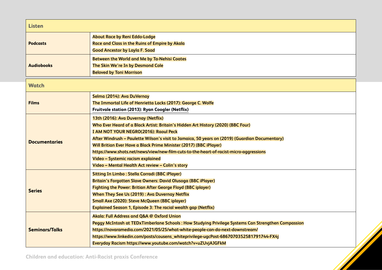| <b>Listen</b>                          |                                                                                                                        |  |
|----------------------------------------|------------------------------------------------------------------------------------------------------------------------|--|
| <b>Podcasts</b><br><b>Audiobooks</b>   | <b>About Race by Reni Eddo-Lodge</b>                                                                                   |  |
|                                        | Race and Class in the Ruins of Empire by Akala<br><b>Good Ancestor by Layla F. Saad</b>                                |  |
|                                        |                                                                                                                        |  |
|                                        | <b>Between the World and Me by Ta-Nehisi Coates</b>                                                                    |  |
|                                        | The Skin We're In by Desmond Cole<br><b>Beloved by Toni Morrison</b>                                                   |  |
|                                        |                                                                                                                        |  |
| <b>Watch</b>                           |                                                                                                                        |  |
| <b>Films</b>                           | Selma (2014): Ava DuVernay                                                                                             |  |
|                                        | The Immortal Life of Henrietta Lacks (2017): George C. Wolfe                                                           |  |
|                                        | Fruitvale station (2013): Ryan Coogler (Netflix)                                                                       |  |
| <b>Documentaries</b>                   | 13th (2016): Ava Duvernay (Netflix)                                                                                    |  |
|                                        | Who Ever Heard of a Black Artist: Britain's Hidden Art History (2020) (BBC Four)                                       |  |
|                                        | I AM NOT YOUR NEGRO(2016): Raoul Peck                                                                                  |  |
|                                        | After Windrush - Paulette Wilson's visit to Jamaica, 50 years on (2019) (Guardian Documentary)                         |  |
|                                        | Will Britian Ever Have a Black Prime Minister (2017) (BBC iPlayer)                                                     |  |
|                                        | https://www.shots.net/news/view/new-film-cuts-to-the-heart-of-racist-micro-aggressions                                 |  |
|                                        | Video - Systemic racism explained                                                                                      |  |
|                                        | Video - Mental Health Act review - Colin's story                                                                       |  |
| <b>Series</b><br><b>Seminars/Talks</b> | <b>Sitting In Limbo: Stella Corradi (BBC iPlayer)</b>                                                                  |  |
|                                        | Britain's Forgotten Slave Owners: David Olusoga (BBC iPlayer)                                                          |  |
|                                        | <b>Fighting the Power: Britian After George Floyd (BBC iplayer)</b>                                                    |  |
|                                        | When They See Us (2019): Ava Duvernay Netflix                                                                          |  |
|                                        | Small Axe (2020): Steve McQueen (BBC iplayer)<br><b>Explained Season 1, Episode 3: The racial wealth gap (Netflix)</b> |  |
|                                        |                                                                                                                        |  |
|                                        | Akala: Full Address and Q&A @ Oxford Union                                                                             |  |
|                                        | Peggy McIntosh at TEDxTimberlane Schools: How Studying Privilege Systems Can Strengthen Compassion                     |  |
|                                        | https://novaramedia.com/2021/05/25/what-white-people-can-do-next-downstream/                                           |  |
|                                        | https://www.linkedin.com/posts/cousens_whiteprivilege-ugcPost-6867070352581791744-FX4j                                 |  |
|                                        | Everyday Racism https://www.youtube.com/watch?v=uZUvjAJGFkM                                                            |  |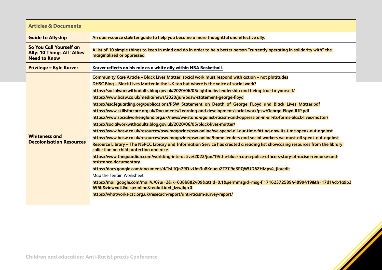| <b>Articles &amp; Documents</b>                                                       |                                                                                                                                                                                                                                                                                                                                                                                                                                                                                                                                                                                                                                                                                                                                                                                                                                                                                                                                                                                                                                                                                                                                                                                                                                                                                                                                                                                                                                                                                                                                                                                                                                                                                                                                                                         |  |
|---------------------------------------------------------------------------------------|-------------------------------------------------------------------------------------------------------------------------------------------------------------------------------------------------------------------------------------------------------------------------------------------------------------------------------------------------------------------------------------------------------------------------------------------------------------------------------------------------------------------------------------------------------------------------------------------------------------------------------------------------------------------------------------------------------------------------------------------------------------------------------------------------------------------------------------------------------------------------------------------------------------------------------------------------------------------------------------------------------------------------------------------------------------------------------------------------------------------------------------------------------------------------------------------------------------------------------------------------------------------------------------------------------------------------------------------------------------------------------------------------------------------------------------------------------------------------------------------------------------------------------------------------------------------------------------------------------------------------------------------------------------------------------------------------------------------------------------------------------------------------|--|
| <b>Guide to Allyship</b>                                                              | An open-source sta§rter guide to help you become a more thoughtful and effective ally.                                                                                                                                                                                                                                                                                                                                                                                                                                                                                                                                                                                                                                                                                                                                                                                                                                                                                                                                                                                                                                                                                                                                                                                                                                                                                                                                                                                                                                                                                                                                                                                                                                                                                  |  |
| So You Call Yourself an<br><b>Ally: 10 Things All 'Allies'</b><br><b>Need to Know</b> | A list of 10 simple things to keep in mind and do in order to be a better person "currently operating in solidarity with" the<br>marginalized or oppressed.                                                                                                                                                                                                                                                                                                                                                                                                                                                                                                                                                                                                                                                                                                                                                                                                                                                                                                                                                                                                                                                                                                                                                                                                                                                                                                                                                                                                                                                                                                                                                                                                             |  |
| <b>Privilege - Kyle Korver</b>                                                        | Korver reflects on his role as a white ally within NBA Basketball.                                                                                                                                                                                                                                                                                                                                                                                                                                                                                                                                                                                                                                                                                                                                                                                                                                                                                                                                                                                                                                                                                                                                                                                                                                                                                                                                                                                                                                                                                                                                                                                                                                                                                                      |  |
| <b>Whiteness and</b><br><b>Decolonisation Resources</b>                               | Community Care Article - Black Lives Matter: social work must respond with action - not platitudes<br>DHSC Blog - Black Lives Matter in the UK too but where is the voice of social work?<br>https://socialworkwithadults.blog.gov.uk/2020/06/05/lightbulbs-leadership-and-being-true-to-yourself/<br>https://www.basw.co.uk/media/news/2020/jun/basw-statement-george-floyd<br>https://esafeguarding.org/publications/PSW_Statement_on_Death_of_George_FLoyd_and_Black_Lives_Matter.pdf<br>https://www.skillsforcare.org.uk/Documents/Learning-and-development/social-work/psw/George-Floyd-RIP.pdf<br>https://www.socialworkengland.org.uk/news/we-stand-against-racism-and-oppression-in-all-its-forms-black-lives-matter/<br>https://socialworkwithadults.blog.gov.uk/2020/06/05/black-lives-matter/<br>https://www.basw.co.uk/resources/psw-magazine/psw-online/we-spend-all-our-time-fitting-now-its-time-speak-out-against<br>https://www.basw.co.uk/resources/psw-magazine/psw-online/bame-leaders-and-social-workers-we-must-all-speak-out-against<br>Resource Library - The NSPCC Library and Information Service has created a reading list showcasing resources from the library<br>collection on child protection and race.<br>https://www.theguardian.com/world/ng-interactive/2022/jan/19/the-black-cop-a-police-officers-story-of-racism-remorse-and-<br>resistance-documentary<br>https://docs.google.com/document/d/1sLIQn7RD-vUm3u8KdueuZTZC9q3PQWUD6ZHMps4_jlo/edit<br>Map the Terrain Worksheet<br>https://mail.google.com/mail/u/0?ui=2&ik=638b882409&attid=0.1&permmsgid=msg-f:1716237258944899419&th=17d14cb1a9b3<br>695b&view=att&disp=inline&realattid=f_kvwjlqrr0<br>https://whatworks-csc.org.uk/research-report/anti-racism-survey-report/ |  |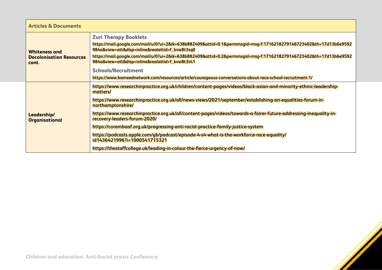| <b>Articles &amp; Documents</b>                                  |                                                                                                                                                                                                                                                                                                                                                                                                                                                                                                                                                                                                                                                                                                           |  |
|------------------------------------------------------------------|-----------------------------------------------------------------------------------------------------------------------------------------------------------------------------------------------------------------------------------------------------------------------------------------------------------------------------------------------------------------------------------------------------------------------------------------------------------------------------------------------------------------------------------------------------------------------------------------------------------------------------------------------------------------------------------------------------------|--|
| <b>Whiteness and</b><br><b>Decolonisation Resources</b><br>cont. | <b>Zuri Therapy Booklets</b><br>https://mail.google.com/mail/u/0?ui=2&ik=638b882409&attid=0.1&permmsgid=msg-f:1716218279146723402&th=17d13b6e9592<br>984a&view=att&disp=inline&realattid=f_kvw8t3sq0<br>https://mail.google.com/mail/u/0?ui=2&ik=638b882409&attid=0.2&permmsgid=msg-f:1716218279146723402&th=17d13b6e9592<br>984a&view=att&disp=inline&realattid=f_kvw8t3t41<br><b>Schools/Recruitment</b><br>https://www.bameednetwork.com/resources/article/courageous-conversations-about-race-school-recruitment-1/                                                                                                                                                                                   |  |
| Leadership/<br><b>Organisational</b>                             | https://www.researchinpractice.org.uk/children/content-pages/videos/black-asian-and-minority-ethnic-leadership-<br>matters/<br>https://www.researchinpractice.org.uk/all/news-views/2021/september/establishing-an-equalities-forum-in-<br>northamptonshire/<br>https://www.researchinpractice.org.uk/all/content-pages/videos/towards-a-fairer-future-addressing-inequality-in-<br>recovery-leaders-forum-2020/<br>https://corambaaf.org.uk/progressing-anti-racist-practice-family-justice-system<br>https://podcasts.apple.com/gb/podcast/episode-4-s4-what-is-the-workforce-race-equality/<br>id1436421996?i=1000541715321<br>https://thestaffcollege.uk/leading-in-colour-the-fierce-urgency-of-now/ |  |

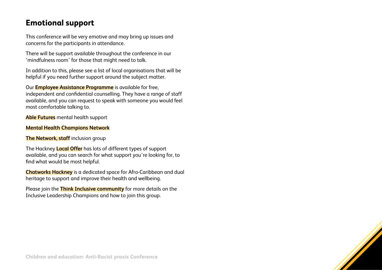#### **Emotional support**

This conference will be very emotive and may bring up issues and concerns for the participants in attendance.

There will be support available throughout the conference in our 'mindfulness room' for those that might need to talk.

In addition to this, please see a list of local organisations that will be helpful if you need further support around the subject matter.

Our **[Employee Assistance Programme](https://intranet.hackney.gov.uk/counselling-and-advice)** is available for free, independent and confidential counselling. They have a range of staff available, and you can request to speak with someone you would feel most comfortable talking to.

**[Able Futures](https://intranet.hackney.gov.uk/able-futures)** mental health support

#### **[Mental Health Champions Network](https://intranet.hackney.gov.uk/mental-health-champions)**

#### **[The Network, staff](https://currents.google.com/communities/115002357707144819236)** inclusion group

The Hackney **[Local Offer](https://www.hackneylocaloffer.co.uk/kb5/hackney/localoffer/results.page?localofferchannel=4_11)** has lots of different types of support available, and you can search for what support you're looking for, to find what would be most helpful.

**[Chatworks Hackney](https://www.chatworkshackney.co.uk/)** is a dedicated space for Afro-Caribbean and dual heritage to support and improve their health and wellbeing.

Please join the **[Think Inclusive community](https://currents.google.com/communities/112106081711086593909)** for more details on the Inclusive Leadership Champions and how to join this group.